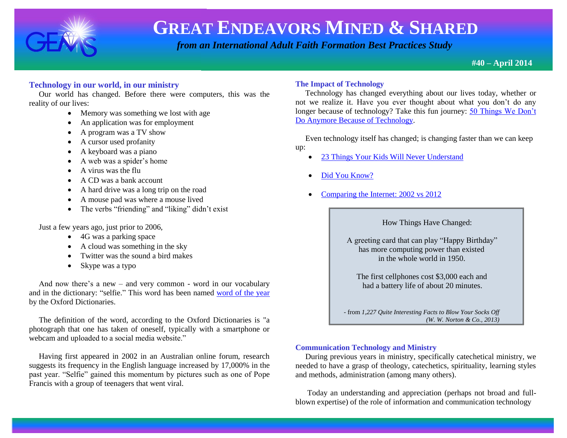

 *from an International Adult Faith Formation Best Practices Study*

**#40 – April 2014**

### **Technology in our world, in our ministry**

 Our world has changed. Before there were computers, this was the reality of our lives:

- Memory was something we lost with age
- An application was for employment
- A program was a TV show
- A cursor used profanity
- A keyboard was a piano
- A web was a spider's home
- A virus was the flu
- A CD was a bank account
- A hard drive was a long trip on the road
- A mouse pad was where a mouse lived
- The verbs "friending" and "liking" didn't exist

Just a few years ago, just prior to 2006,

- 4G was a parking space
- A cloud was something in the sky
- Twitter was the sound a bird makes
- Skype was a typo

 And now there's a new – and very common - word in our vocabulary and in the dictionary: "selfie." This word has been named [word of the year](http://www.bbc.co.uk/news/uk-24992393) by the Oxford Dictionaries.

 The definition of the word, according to the Oxford Dictionaries is "a photograph that one has taken of oneself, typically with a smartphone or webcam and uploaded to a social media website."

 Having first appeared in 2002 in an Australian online forum, research suggests its frequency in the English language increased by 17,000% in the past year. "Selfie" gained this momentum by pictures such as one of Pope Francis with a group of teenagers that went viral.

### **The Impact of Technology**

 Technology has changed everything about our lives today, whether or not we realize it. Have you ever thought about what you don't do any longer because of technology? Take this fun journey: [50 Things We Don't](http://churchm.ag/things-we-dont-do-anymore-because-technology/?utm)  [Do Anymore Because of Technology.](http://churchm.ag/things-we-dont-do-anymore-because-technology/?utm)

 Even technology itself has changed; is changing faster than we can keep up:

- [23 Things Your Kids Will Never Understand](http://www.huffingtonpost.com/2013/08/24/technology-kids_n_3751012.html?ncid=edlinkusaolp00000009)
- [Did You Know?](http://www.youtube.com/watch?v=YmwwrGV_aiE)
- [Comparing the Internet: 2002 vs 2012](http://churchm.ag/comparing-the-internet-2002-vs-2012/?utm)

How Things Have Changed:

 A greeting card that can play "Happy Birthday" has more computing power than existed in the whole world in 1950.

 The first cellphones cost \$3,000 each and had a battery life of about 20 minutes.

- from *1,227 Quite Interesting Facts to Blow Your Socks Off (W. W. Norton & Co., 2013)*

### **Communication Technology and Ministry**

 During previous years in ministry, specifically catechetical ministry, we needed to have a grasp of theology, catechetics, spirituality, learning styles and methods, administration (among many others).

 Today an understanding and appreciation (perhaps not broad and fullblown expertise) of the role of information and communication technology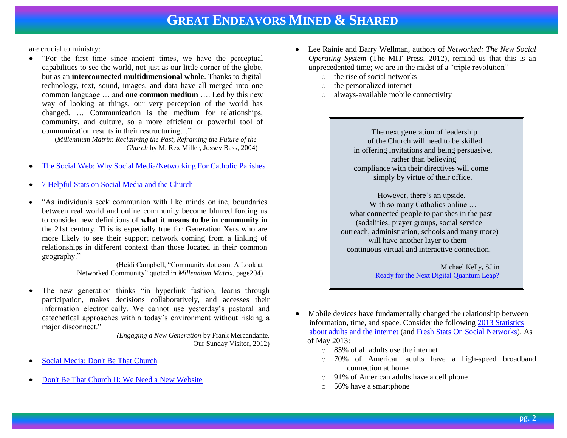are crucial to ministry:

 "For the first time since ancient times, we have the perceptual capabilities to see the world, not just as our little corner of the globe, but as an **interconnected multidimensional whole**. Thanks to digital technology, text, sound, images, and data have all merged into one common language … and **one common medium** …. Led by this new way of looking at things, our very perception of the world has changed. … Communication is the medium for relationships, community, and culture, so a more efficient or powerful tool of communication results in their restructuring…"

> (*Millennium Matrix: Reclaiming the Past, Reframing the Future of the Church* by M. Rex Miller, Jossey Bass, 2004)

- [The Social Web: Why Social Media/Networking For Catholic Parishes](http://catholictechtalk.com/2011/04/16/the-social-web-why-social-medianetworking-for-catholic-parishes/)
- [7 Helpful Stats on Social Media and the Church](http://www.ncregister.com/blog/matthew-warner/7-helpful-stats-on-social-media-and-the-church)
- "As individuals seek communion with like minds online, boundaries between real world and online community become blurred forcing us to consider new definitions of **what it means to be in community** in the 21st century. This is especially true for Generation Xers who are more likely to see their support network coming from a linking of relationships in different context than those located in their common geography."

(Heidi Campbell, "Community.dot.com: A Look at Networked Community" quoted in *Millennium Matrix*, page204)

 The new generation thinks "in hyperlink fashion, learns through participation, makes decisions collaboratively, and accesses their information electronically. We cannot use yesterday's pastoral and catechetical approaches within today's environment without risking a major disconnect."

*(Engaging a New Generation* by Frank Mercandante. Our Sunday Visitor, 2012)

- [Social Media: Don't Be That Church](http://www.youtube.com/watch?v=pXiNSeSoBUM)
- [Don't Be That Church II: We Need a New Website](http://www.youtube.com/watch?v=wGU95D-hcjU)
- Lee Rainie and Barry Wellman, authors of *Networked: The New Social Operating System* (The MIT Press, 2012), remind us that this is an unprecedented time; we are in the midst of a "triple revolution"
	- o the rise of social networks
	- o the personalized internet
	- o always-available mobile connectivity

 The next generation of leadership of the Church will need to be skilled in offering invitations and being persuasive, rather than believing compliance with their directives will come simply by virtue of their office.

 However, there's an upside. With so many Catholics online … what connected people to parishes in the past (sodalities, prayer groups, social service outreach, administration, schools and many more) will have another layer to them – continuous virtual and interactive connection.

> Michael Kelly, SJ in [Ready for the Next Digital Quantum Leap?](http://www.ucanews.com/news/ready-for-the-next-digital-quantum-leap/68509)

- Mobile devices have fundamentally changed the relationship between information, time, and space. Consider the following [2013 Statistics](http://www.pewinternet.org/Trend-Data-(Adults)/Online-Activites-Total.aspx)   [about adults and the internet](http://www.pewinternet.org/Trend-Data-(Adults)/Online-Activites-Total.aspx) (an[d Fresh Stats On Social Networks\)](http://techcrunch.com/2013/02/17/social-media-statistics-2012/). As of May 2013:
	- o 85% of all adults use the internet
	- o 70% of American adults have a high-speed broadband connection at home
	- o 91% of American adults have a cell phone
	- o 56% have a smartphone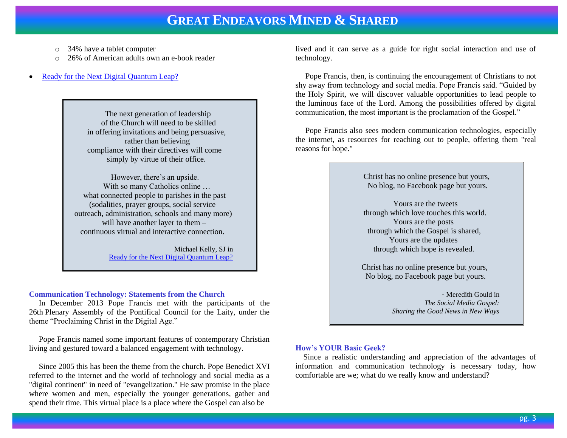- o 34% have a tablet computer
- o 26% of American adults own an e-book reader
- [Ready for the Next Digital Quantum Leap?](http://www.ucanews.com/news/ready-for-the-next-digital-quantum-leap/68509)

 The next generation of leadership of the Church will need to be skilled in offering invitations and being persuasive, rather than believing compliance with their directives will come simply by virtue of their office.

 However, there's an upside. With so many Catholics online … what connected people to parishes in the past (sodalities, prayer groups, social service outreach, administration, schools and many more) will have another layer to them – continuous virtual and interactive connection.

> Michael Kelly, SJ in [Ready for the Next Digital Quantum Leap?](http://www.ucanews.com/news/ready-for-the-next-digital-quantum-leap/68509)

### **Communication Technology: Statements from the Church**

 In December 2013 Pope Francis met with the participants of the 26th Plenary Assembly of the Pontifical Council for the Laity, under the theme "Proclaiming Christ in the Digital Age."

 Pope Francis named some important features of contemporary Christian living and gestured toward a balanced engagement with technology.

 Since 2005 this has been the theme from the church. Pope Benedict XVI referred to the internet and the world of technology and social media as a "digital continent" in need of "evangelization." He saw promise in the place where women and men, especially the younger generations, gather and spend their time. This virtual place is a place where the Gospel can also be

lived and it can serve as a guide for right social interaction and use of technology.

 Pope Francis, then, is continuing the encouragement of Christians to not shy away from technology and social media. Pope Francis said. "Guided by the Holy Spirit, we will discover valuable opportunities to lead people to the luminous face of the Lord. Among the possibilities offered by digital communication, the most important is the proclamation of the Gospel."

 Pope Francis also sees modern communication technologies, especially the internet, as resources for reaching out to people, offering them "real reasons for hope."



#### **How's YOUR Basic Geek?**

 Since a realistic understanding and appreciation of the advantages of information and communication technology is necessary today, how comfortable are we; what do we really know and understand?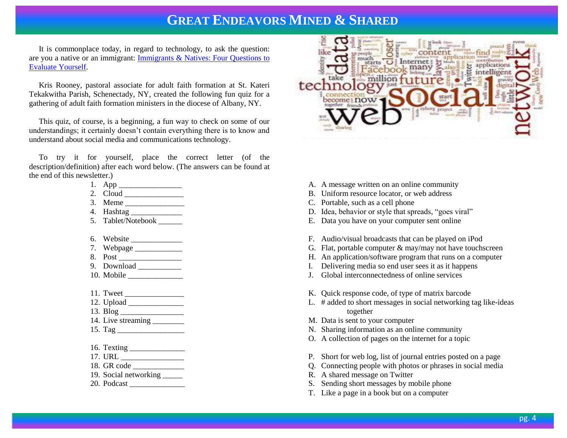It is commonplace today, in regard to technology, to ask the question: are you a native or an immigrant: [Immigrants & Natives: Four Questions to](http://growingleaders.com/blog/immigrants-natives-four-questions-to-evaluate-yourself/)  [Evaluate Yourself.](http://growingleaders.com/blog/immigrants-natives-four-questions-to-evaluate-yourself/)

 Kris Rooney, pastoral associate for adult faith formation at St. Kateri Tekakwitha Parish, Schenectady, NY, created the following fun quiz for a gathering of adult faith formation ministers in the diocese of Albany, NY.

 This quiz, of course, is a beginning, a fun way to check on some of our understandings; it certainly doesn't contain everything there is to know and understand about social media and communications technology.

 To try it for yourself, place the correct letter (of the description/definition) after each word below. (The answers can be found at the end of this newsletter.)

- 1. App \_\_\_\_\_\_\_\_\_\_\_\_\_\_\_\_
- 2. Cloud \_\_\_\_\_\_\_\_\_\_\_\_\_\_\_
- 3. Meme \_\_\_\_\_\_\_\_\_\_\_\_\_\_\_
- 4. Hashtag \_\_\_\_\_\_\_\_\_\_\_\_\_
- 5. Tablet/Notebook \_\_\_\_\_\_
- 6. Website \_\_\_\_\_\_\_\_\_\_\_\_\_
- 7. Webpage \_\_\_\_\_\_\_\_\_\_\_\_
- 8. Post \_\_\_\_\_\_\_\_\_\_\_\_\_\_\_\_
- 9. Download \_\_\_\_\_\_\_\_\_\_\_
- 10. Mobile \_\_\_\_\_\_\_\_\_\_\_\_\_\_
- 11. Tweet \_\_\_\_\_\_\_\_\_\_\_\_\_\_\_
- 12. Upload \_\_\_\_\_\_\_\_\_\_\_\_\_\_
- 13. Blog \_\_\_\_\_\_\_\_\_\_\_\_\_\_\_\_
- 14. Live streaming \_\_\_\_\_\_\_\_
- 15. Tag \_\_\_\_\_\_\_\_\_\_\_\_\_\_\_\_\_
- 16. Texting \_\_\_\_\_\_\_\_\_\_\_\_\_\_
- 17. URL \_\_\_\_\_\_\_\_\_\_\_\_\_\_\_\_
- 18. GR code \_\_\_\_\_\_\_\_\_\_\_\_\_
- 19. Social networking \_\_\_\_\_
- 20. Podcast \_\_\_\_\_\_\_\_\_\_\_\_\_\_



- A. A message written on an online community
- B. Uniform resource locator, or web address
- C. Portable, such as a cell phone
- D. Idea, behavior or style that spreads, "goes viral"
- E. Data you have on your computer sent online
- F. Audio/visual broadcasts that can be played on iPod
- G. Flat, portable computer  $\&$  may/may not have touchscreen
- H. An application/software program that runs on a computer
- I. Delivering media so end user sees it as it happens
- J. Global interconnectedness of online services
- K. Quick response code, of type of matrix barcode
- L. # added to short messages in social networking tag like-ideas together
- M. Data is sent to your computer
- N. Sharing information as an online community
- O. A collection of pages on the internet for a topic
- P. Short for web log, list of journal entries posted on a page
- Q. Connecting people with photos or phrases in social media
- R. A shared message on Twitter
- S. Sending short messages by mobile phone
- T. Like a page in a book but on a computer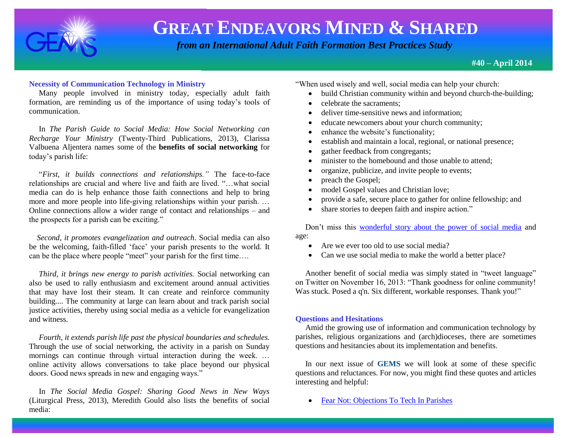

 *from an International Adult Faith Formation Best Practices Study*

**#40 – April 2014**

### **Necessity of Communication Technology in Ministry**

 Many people involved in ministry today, especially adult faith formation, are reminding us of the importance of using today's tools of communication.

 In *The Parish Guide to Social Media: How Social Networking can Recharge Your Ministry* (Twenty-Third Publications, 2013), Clarissa Valbuena Aljentera names some of the **benefits of social networking** for today's parish life:

 "*First, it builds connections and relationships."* The face-to-face relationships are crucial and where live and faith are lived. "…what social media can do is help enhance those faith connections and help to bring more and more people into life-giving relationships within your parish. … Online connections allow a wider range of contact and relationships – and the prospects for a parish can be exciting."

 *Second, it promotes evangelization and outreach*. Social media can also be the welcoming, faith-filled 'face' your parish presents to the world. It can be the place where people "meet" your parish for the first time….

 *Third, it brings new energy to parish activities.* Social networking can also be used to rally enthusiasm and excitement around annual activities that may have lost their steam. It can create and reinforce community building.... The community at large can learn about and track parish social justice activities, thereby using social media as a vehicle for evangelization and witness.

 *Fourth, it extends parish life past the physical boundaries and schedules.* Through the use of social networking, the activity in a parish on Sunday mornings can continue through virtual interaction during the week. … online activity allows conversations to take place beyond our physical doors. Good news spreads in new and engaging ways."

 In *The Social Media Gospel: Sharing Good News in New Ways* (Liturgical Press, 2013), Meredith Gould also lists the benefits of social media:

"When used wisely and well, social media can help your church:

- build Christian community within and beyond church-the-building;
- celebrate the sacraments;
- deliver time-sensitive news and information;
- educate newcomers about your church community;
- enhance the website's functionality;
- establish and maintain a local, regional, or national presence;
- gather feedback from congregants;
- minister to the homebound and those unable to attend;
- organize, publicize, and invite people to events;
- preach the Gospel;
- model Gospel values and Christian love;
- provide a safe, secure place to gather for online fellowship; and
- share stories to deepen faith and inspire action."

 Don't miss this [wonderful story about the power of social media](http://www.huffingtonpost.com/2013/10/28/edythe-kirchmaier_n_4165059.html?ncid=edlinkusaolp00000009) and age:

- Are we ever too old to use social media?
- Can we use social media to make the world a better place?

 Another benefit of social media was simply stated in "tweet language" on Twitter on November 16, 2013: "Thank goodness for online community! Was stuck. Posed a q'n. Six different, workable responses. Thank you!"

### **Questions and Hesitations**

 Amid the growing use of information and communication technology by parishes, religious organizations and (arch)dioceses, there are sometimes questions and hesitancies about its implementation and benefits.

 In our next issue of **GEMS** we will look at some of these specific questions and reluctances. For now, you might find these quotes and articles interesting and helpful:

• [Fear Not: Objections To Tech In Parishes](http://catholictechtalk.com/2011/04/01/be-not-afraid-overcoming-objections-to-tech-in-parishes/)